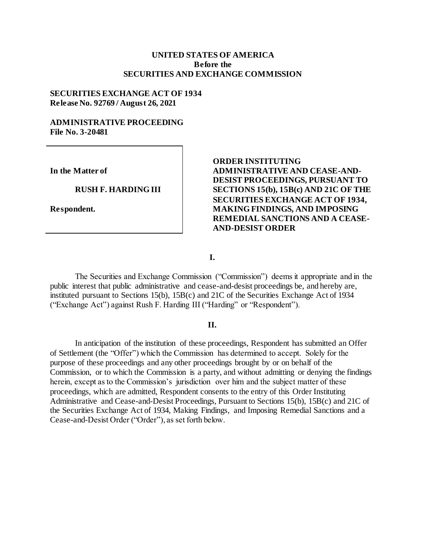#### **UNITED STATES OF AMERICA Before the SECURITIES AND EXCHANGE COMMISSION**

#### **SECURITIES EXCHANGE ACT OF 1934 Release No. 92769 / August 26, 2021**

#### **ADMINISTRATIVE PROCEEDING File No. 3-20481**

**In the Matter of**

#### **RUSH F. HARDING III**

**Respondent.**

## **ORDER INSTITUTING ADMINISTRATIVE AND CEASE-AND-DESIST PROCEEDINGS, PURSUANT TO SECTIONS 15(b), 15B(c) AND 21C OF THE SECURITIES EXCHANGE ACT OF 1934, MAKING FINDINGS, AND IMPOSING REMEDIAL SANCTIONS AND A CEASE-AND-DESIST ORDER**

**I.**

The Securities and Exchange Commission ("Commission") deems it appropriate and in the public interest that public administrative and cease-and-desist proceedings be, and hereby are, instituted pursuant to Sections 15(b), 15B(c) and 21C of the Securities Exchange Act of 1934 ("Exchange Act") against Rush F. Harding III ("Harding" or "Respondent").

#### **II.**

In anticipation of the institution of these proceedings, Respondent has submitted an Offer of Settlement (the "Offer") which the Commission has determined to accept. Solely for the purpose of these proceedings and any other proceedings brought by or on behalf of the Commission, or to which the Commission is a party, and without admitting or denying the findings herein, except as to the Commission's jurisdiction over him and the subject matter of these proceedings, which are admitted, Respondent consents to the entry of this Order Instituting Administrative and Cease-and-Desist Proceedings, Pursuant to Sections 15(b), 15B(c) and 21C of the Securities Exchange Act of 1934, Making Findings, and Imposing Remedial Sanctions and a Cease-and-Desist Order ("Order"), as set forth below.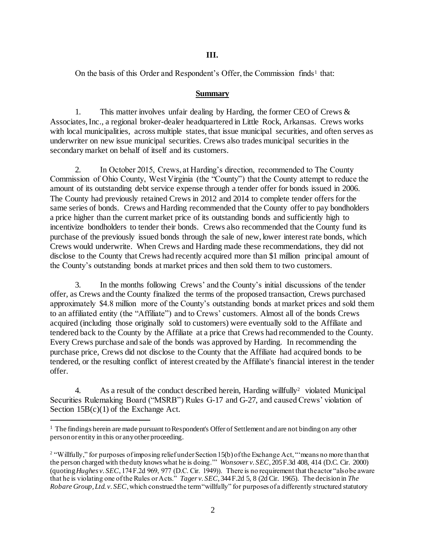### **III.**

On the basis of this Order and Respondent's Offer, the Commission finds<sup>1</sup> that:

#### **Summary**

1. This matter involves unfair dealing by Harding, the former CEO of Crews & Associates, Inc., a regional broker-dealer headquartered in Little Rock, Arkansas. Crews works with local municipalities, across multiple states, that issue municipal securities, and often serves as underwriter on new issue municipal securities. Crews also trades municipal securities in the secondary market on behalf of itself and its customers.

2. In October 2015, Crews, at Harding's direction, recommended to The County Commission of Ohio County, West Virginia (the "County") that the County attempt to reduce the amount of its outstanding debt service expense through a tender offer for bonds issued in 2006. The County had previously retained Crews in 2012 and 2014 to complete tender offers for the same series of bonds. Crews and Harding recommended that the County offer to pay bondholders a price higher than the current market price of its outstanding bonds and sufficiently high to incentivize bondholders to tender their bonds. Crews also recommended that the County fund its purchase of the previously issued bonds through the sale of new, lower interest rate bonds, which Crews would underwrite. When Crews and Harding made these recommendations, they did not disclose to the County that Crews had recently acquired more than \$1 million principal amount of the County's outstanding bonds at market prices and then sold them to two customers.

3. In the months following Crews' and the County's initial discussions of the tender offer, as Crews and the County finalized the terms of the proposed transaction, Crews purchased approximately \$4.8 million more of the County's outstanding bonds at market prices and sold them to an affiliated entity (the "Affiliate") and to Crews' customers. Almost all of the bonds Crews acquired (including those originally sold to customers) were eventually sold to the Affiliate and tendered back to the County by the Affiliate at a price that Crews had recommended to the County. Every Crews purchase and sale of the bonds was approved by Harding. In recommending the purchase price, Crews did not disclose to the County that the Affiliate had acquired bonds to be tendered, or the resulting conflict of interest created by the Affiliate's financial interest in the tender offer.

4. As a result of the conduct described herein, Harding willfully<sup>2</sup> violated Municipal Securities Rulemaking Board ("MSRB") Rules G-17 and G-27, and caused Crews' violation of Section  $15B(c)(1)$  of the Exchange Act.

l

 $<sup>1</sup>$  The findings herein are made pursuant to Respondent's Offer of Settlement and are not binding on any other</sup> person or entity in this or any other proceeding.

<sup>&</sup>lt;sup>2</sup> "Willfully," for purposes of imposing relief under Section 15(b) of the Exchange Act, "means no more than that the person charged with the duty knows what he is doing.'" *Wonsover v. SEC*, 205 F.3d 408, 414 (D.C. Cir. 2000) (quoting *Hughes v. SEC*, 174 F.2d 969, 977 (D.C. Cir. 1949)). There is no requirement that the actor "also be aware that he is violating one of the Rules or Acts." *Tager v. SEC*, 344 F.2d 5, 8 (2d Cir. 1965). The decision in *The Robare Group, Ltd. v. SEC*, which construed the term "willfully" for purposes of a differently structured statutory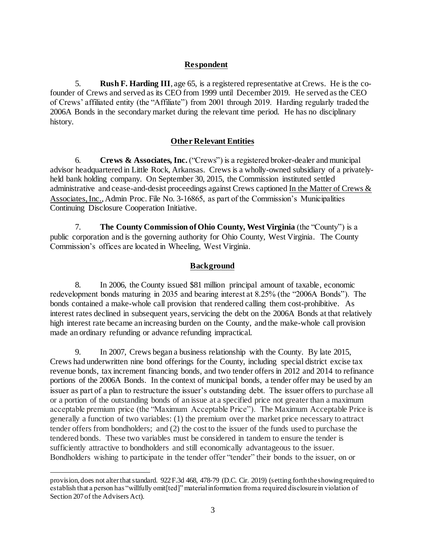## **Respondent**

5. **Rush F. Harding III**, age 65, is a registered representative at Crews. He is the cofounder of Crews and served as its CEO from 1999 until December 2019. He served as the CEO of Crews' affiliated entity (the "Affiliate") from 2001 through 2019. Harding regularly traded the 2006A Bonds in the secondary market during the relevant time period. He has no disciplinary history.

## **Other Relevant Entities**

6. **Crews & Associates, Inc.** ("Crews") is a registered broker-dealer and municipal advisor headquartered in Little Rock, Arkansas. Crews is a wholly-owned subsidiary of a privatelyheld bank holding company. On September 30, 2015, the Commission instituted settled administrative and cease-and-desist proceedings against Crews captioned In the Matter of Crews & Associates, Inc., Admin Proc. File No. 3-16865, as part of the Commission's Municipalities Continuing Disclosure Cooperation Initiative.

7. **The County Commission of Ohio County, West Virginia** (the "County") is a public corporation and is the governing authority for Ohio County, West Virginia. The County Commission's offices are located in Wheeling, West Virginia.

# **Background**

8. In 2006, the County issued \$81 million principal amount of taxable, economic redevelopment bonds maturing in 2035 and bearing interest at 8.25% (the "2006A Bonds"). The bonds contained a make-whole call provision that rendered calling them cost-prohibitive. As interest rates declined in subsequent years, servicing the debt on the 2006A Bonds at that relatively high interest rate became an increasing burden on the County, and the make-whole call provision made an ordinary refunding or advance refunding impractical.

9. In 2007, Crews began a business relationship with the County. By late 2015, Crews had underwritten nine bond offerings for the County, including special district excise tax revenue bonds, tax increment financing bonds, and two tender offers in 2012 and 2014 to refinance portions of the 2006A Bonds. In the context of municipal bonds, a tender offer may be used by an issuer as part of a plan to restructure the issuer's outstanding debt. The issuer offers to purchase all or a portion of the outstanding bonds of an issue at a specified price not greater than a maximum acceptable premium price (the "Maximum Acceptable Price"). The Maximum Acceptable Price is generally a function of two variables: (1) the premium over the market price necessary to attract tender offers from bondholders; and (2) the cost to the issuer of the funds used to purchase the tendered bonds. These two variables must be considered in tandem to ensure the tender is sufficiently attractive to bondholders and still economically advantageous to the issuer. Bondholders wishing to participate in the tender offer "tender" their bonds to the issuer, on or

j

provision, does not alter that standard. 922 F.3d 468, 478-79 (D.C. Cir. 2019) (setting forth the showing required to establish that a person has "willfully omit[ted]" material information from a required disclosure in violation of Section 207 of the Advisers Act).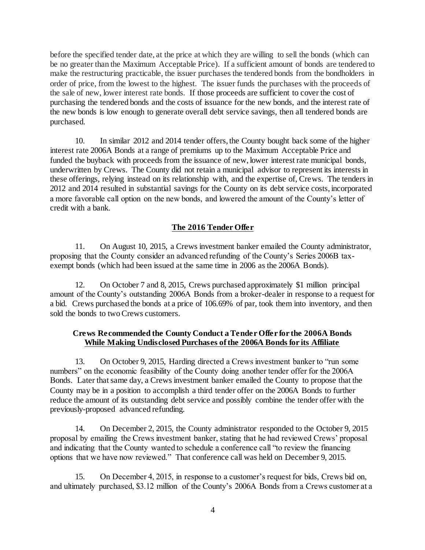before the specified tender date, at the price at which they are willing to sell the bonds (which can be no greater than the Maximum Acceptable Price). If a sufficient amount of bonds are tendered to make the restructuring practicable, the issuer purchases the tendered bonds from the bondholders in order of price, from the lowest to the highest. The issuer funds the purchases with the proceeds of the sale of new, lower interest rate bonds. If those proceeds are sufficient to cover the cost of purchasing the tendered bonds and the costs of issuance for the new bonds, and the interest rate of the new bonds is low enough to generate overall debt service savings, then all tendered bonds are purchased.

10. In similar 2012 and 2014 tender offers, the County bought back some of the higher interest rate 2006A Bonds at a range of premiums up to the Maximum Acceptable Price and funded the buyback with proceeds from the issuance of new, lower interest rate municipal bonds, underwritten by Crews. The County did not retain a municipal advisor to represent its interests in these offerings, relying instead on its relationship with, and the expertise of, Crews. The tenders in 2012 and 2014 resulted in substantial savings for the County on its debt service costs, incorporated a more favorable call option on the new bonds, and lowered the amount of the County's letter of credit with a bank.

# **The 2016 Tender Offer**

11. On August 10, 2015, a Crews investment banker emailed the County administrator, proposing that the County consider an advanced refunding of the County's Series 2006B taxexempt bonds (which had been issued at the same time in 2006 as the 2006A Bonds).

12. On October 7 and 8, 2015, Crews purchased approximately \$1 million principal amount of the County's outstanding 2006A Bonds from a broker-dealer in response to a request for a bid. Crews purchased the bonds at a price of 106.69% of par, took them into inventory, and then sold the bonds to two Crews customers.

## **Crews Recommended the County Conduct a Tender Offer for the 2006A Bonds While Making Undisclosed Purchases of the 2006A Bonds for its Affiliate**

13. On October 9, 2015, Harding directed a Crews investment banker to "run some numbers" on the economic feasibility of the County doing another tender offer for the 2006A Bonds. Later that same day, a Crews investment banker emailed the County to propose that the County may be in a position to accomplish a third tender offer on the 2006A Bonds to further reduce the amount of its outstanding debt service and possibly combine the tender offer with the previously-proposed advanced refunding.

14. On December 2, 2015, the County administrator responded to the October 9, 2015 proposal by emailing the Crews investment banker, stating that he had reviewed Crews' proposal and indicating that the County wanted to schedule a conference call "to review the financing options that we have now reviewed." That conference call was held on December 9, 2015.

15. On December 4, 2015, in response to a customer's request for bids, Crews bid on, and ultimately purchased, \$3.12 million of the County's 2006A Bonds from a Crews customer at a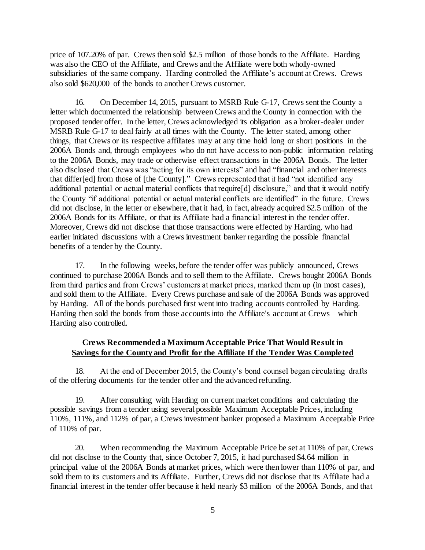price of 107.20% of par. Crews then sold \$2.5 million of those bonds to the Affiliate. Harding was also the CEO of the Affiliate, and Crews and the Affiliate were both wholly-owned subsidiaries of the same company. Harding controlled the Affiliate's account at Crews. Crews also sold \$620,000 of the bonds to another Crews customer.

16. On December 14, 2015, pursuant to MSRB Rule G-17, Crews sent the County a letter which documented the relationship between Crews and the County in connection with the proposed tender offer. In the letter, Crews acknowledged its obligation as a broker-dealer under MSRB Rule G-17 to deal fairly at all times with the County. The letter stated, among other things, that Crews or its respective affiliates may at any time hold long or short positions in the 2006A Bonds and, through employees who do not have access to non-public information relating to the 2006A Bonds, may trade or otherwise effect transactions in the 2006A Bonds. The letter also disclosed that Crews was "acting for its own interests" and had "financial and other interests that differ[ed] from those of [the County]." Crews represented that it had "not identified any additional potential or actual material conflicts that require[d] disclosure," and that it would notify the County "if additional potential or actual material conflicts are identified" in the future. Crews did not disclose, in the letter or elsewhere, that it had, in fact, already acquired \$2.5 million of the 2006A Bonds for its Affiliate, or that its Affiliate had a financial interest in the tender offer. Moreover, Crews did not disclose that those transactions were effected by Harding, who had earlier initiated discussions with a Crews investment banker regarding the possible financial benefits of a tender by the County.

17. In the following weeks, before the tender offer was publicly announced, Crews continued to purchase 2006A Bonds and to sell them to the Affiliate. Crews bought 2006A Bonds from third parties and from Crews' customers at market prices, marked them up (in most cases), and sold them to the Affiliate. Every Crews purchase and sale of the 2006A Bonds was approved by Harding. All of the bonds purchased first went into trading accounts controlled by Harding. Harding then sold the bonds from those accounts into the Affiliate's account at Crews – which Harding also controlled.

# **Crews Recommended a Maximum Acceptable Price That Would Result in Savings for the County and Profit for the Affiliate If the Tender Was Completed**

18. At the end of December 2015, the County's bond counsel began circulating drafts of the offering documents for the tender offer and the advanced refunding.

19. After consulting with Harding on current market conditions and calculating the possible savings from a tender using several possible Maximum Acceptable Prices, including 110%, 111%, and 112% of par, a Crews investment banker proposed a Maximum Acceptable Price of 110% of par.

20. When recommending the Maximum Acceptable Price be set at 110% of par, Crews did not disclose to the County that, since October 7, 2015, it had purchased \$4.64 million in principal value of the 2006A Bonds at market prices, which were then lower than 110% of par, and sold them to its customers and its Affiliate. Further, Crews did not disclose that its Affiliate had a financial interest in the tender offer because it held nearly \$3 million of the 2006A Bonds, and that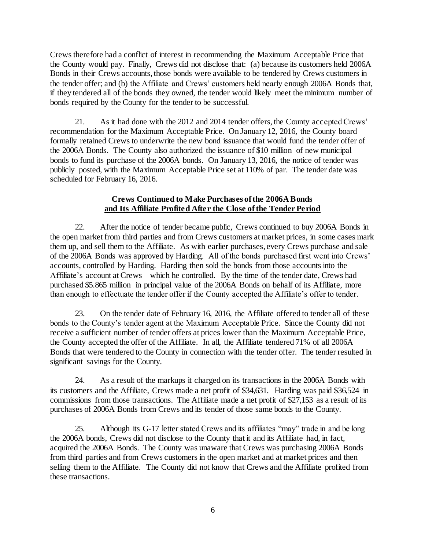Crews therefore had a conflict of interest in recommending the Maximum Acceptable Price that the County would pay. Finally, Crews did not disclose that: (a) because its customers held 2006A Bonds in their Crews accounts, those bonds were available to be tendered by Crews customers in the tender offer; and (b) the Affiliate and Crews' customers held nearly enough 2006A Bonds that, if they tendered all of the bonds they owned, the tender would likely meet the minimum number of bonds required by the County for the tender to be successful.

21. As it had done with the 2012 and 2014 tender offers, the County accepted Crews' recommendation for the Maximum Acceptable Price. On January 12, 2016, the County board formally retained Crews to underwrite the new bond issuance that would fund the tender offer of the 2006A Bonds. The County also authorized the issuance of \$10 million of new municipal bonds to fund its purchase of the 2006A bonds. On January 13, 2016, the notice of tender was publicly posted, with the Maximum Acceptable Price set at 110% of par. The tender date was scheduled for February 16, 2016.

### **Crews Continued to Make Purchases of the 2006A Bonds and Its Affiliate Profited After the Close of the Tender Period**

22. After the notice of tender became public, Crews continued to buy 2006A Bonds in the open market from third parties and from Crews customers at market prices, in some cases mark them up, and sell them to the Affiliate. As with earlier purchases, every Crews purchase and sale of the 2006A Bonds was approved by Harding. All of the bonds purchased first went into Crews' accounts, controlled by Harding. Harding then sold the bonds from those accounts into the Affiliate's account at Crews – which he controlled. By the time of the tender date, Crews had purchased \$5.865 million in principal value of the 2006A Bonds on behalf of its Affiliate, more than enough to effectuate the tender offer if the County accepted the Affiliate's offer to tender.

23. On the tender date of February 16, 2016, the Affiliate offered to tender all of these bonds to the County's tender agent at the Maximum Acceptable Price. Since the County did not receive a sufficient number of tender offers at prices lower than the Maximum Acceptable Price, the County accepted the offer of the Affiliate. In all, the Affiliate tendered 71% of all 2006A Bonds that were tendered to the County in connection with the tender offer. The tender resulted in significant savings for the County.

24. As a result of the markups it charged on its transactions in the 2006A Bonds with its customers and the Affiliate, Crews made a net profit of \$34,631. Harding was paid \$36,524 in commissions from those transactions. The Affiliate made a net profit of \$27,153 as a result of its purchases of 2006A Bonds from Crews and its tender of those same bonds to the County.

25. Although its G-17 letter stated Crews and its affiliates "may" trade in and be long the 2006A bonds, Crews did not disclose to the County that it and its Affiliate had, in fact, acquired the 2006A Bonds. The County was unaware that Crews was purchasing 2006A Bonds from third parties and from Crews customers in the open market and at market prices and then selling them to the Affiliate. The County did not know that Crews and the Affiliate profited from these transactions.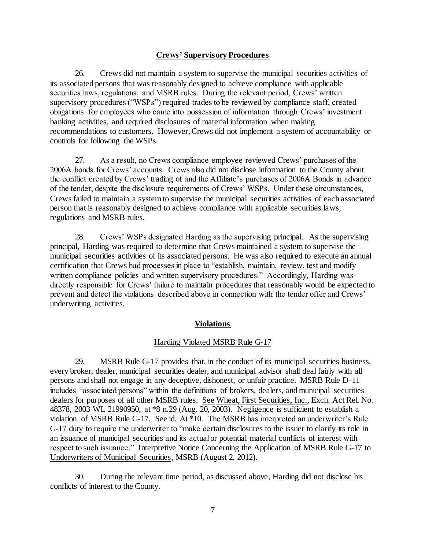## **Crews' Supervisory Procedures**

26. Crews did not maintain a system to supervise the municipal securities activities of its associated persons that was reasonably designed to achieve compliance with applicable securities laws, regulations, and MSRB rules. During the relevant period, Crews' written supervisory procedures ("WSPs") required trades to be reviewed by compliance staff, created obligations for employees who came into possession of information through Crews' investment banking activities, and required disclosures of material information when making recommendations to customers. However, Crews did not implement a system of accountability or controls for following the WSPs.

27. As a result, no Crews compliance employee reviewed Crews' purchases of the 2006A bonds for Crews' accounts. Crews also did not disclose information to the County about the conflict created by Crews' trading of and the Affiliate's purchases of 2006A Bonds in advance of the tender, despite the disclosure requirements of Crews' WSPs. Under these circumstances, Crews failed to maintain a system to supervise the municipal securities activities of each associated person that is reasonably designed to achieve compliance with applicable securities laws, regulations and MSRB rules.

28. Crews' WSPs designated Harding as the supervising principal. As the supervising principal, Harding was required to determine that Crews maintained a system to supervise the municipal securities activities of its associated persons. He was also required to execute an annual certification that Crews had processes in place to "establish, maintain, review, test and modify written compliance policies and written supervisory procedures." Accordingly, Harding was directly responsible for Crews' failure to maintain procedures that reasonably would be expected to prevent and detect the violations described above in connection with the tender offer and Crews' underwriting activities.

### **Violations**

### Harding Violated MSRB Rule G-17

29. MSRB Rule G-17 provides that, in the conduct of its municipal securities business, every broker, dealer, municipal securities dealer, and municipal advisor shall deal fairly with all persons and shall not engage in any deceptive, dishonest, or unfair practice. MSRB Rule D-11 includes "associated persons" within the definitions of brokers, dealers, and municipal securities dealers for purposes of all other MSRB rules. See Wheat, First Securities, Inc.*,* Exch. Act Rel. No. 48378, 2003 WL 21990950, at \*8 n.29 (Aug. 20, 2003). Negligence is sufficient to establish a violation of MSRB Rule G-17. See id. At \*10. The MSRB has interpreted an underwriter's Rule G-17 duty to require the underwriter to "make certain disclosures to the issuer to clarify its role in an issuance of municipal securities and its actual or potential material conflicts of interest with respect to such issuance." Interpretive Notice Concerning the Application of MSRB Rule G-17 to Underwriters of Municipal Securities, MSRB (August 2, 2012).

30. During the relevant time period, as discussed above, Harding did not disclose his conflicts of interest to the County.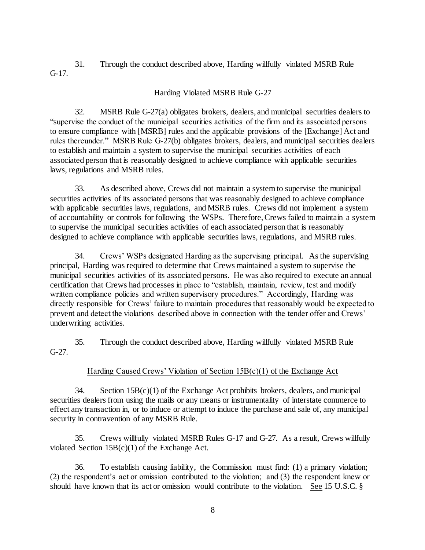31. Through the conduct described above, Harding willfully violated MSRB Rule G-17.

# Harding Violated MSRB Rule G-27

32. MSRB Rule G-27(a) obligates brokers, dealers, and municipal securities dealers to "supervise the conduct of the municipal securities activities of the firm and its associated persons to ensure compliance with [MSRB] rules and the applicable provisions of the [Exchange] Act and rules thereunder." MSRB Rule G-27(b) obligates brokers, dealers, and municipal securities dealers to establish and maintain a system to supervise the municipal securities activities of each associated person that is reasonably designed to achieve compliance with applicable securities laws, regulations and MSRB rules.

33. As described above, Crews did not maintain a system to supervise the municipal securities activities of its associated persons that was reasonably designed to achieve compliance with applicable securities laws, regulations, and MSRB rules. Crews did not implement a system of accountability or controls for following the WSPs. Therefore, Crews failed to maintain a system to supervise the municipal securities activities of each associated person that is reasonably designed to achieve compliance with applicable securities laws, regulations, and MSRB rules.

34. Crews' WSPs designated Harding as the supervising principal. As the supervising principal, Harding was required to determine that Crews maintained a system to supervise the municipal securities activities of its associated persons. He was also required to execute an annual certification that Crews had processes in place to "establish, maintain, review, test and modify written compliance policies and written supervisory procedures." Accordingly, Harding was directly responsible for Crews' failure to maintain procedures that reasonably would be expected to prevent and detect the violations described above in connection with the tender offer and Crews' underwriting activities.

35. Through the conduct described above, Harding willfully violated MSRB Rule G-27.

# Harding Caused Crews' Violation of Section 15B(c)(1) of the Exchange Act

34. Section  $15B(c)(1)$  of the Exchange Act prohibits brokers, dealers, and municipal securities dealers from using the mails or any means or instrumentality of interstate commerce to effect any transaction in, or to induce or attempt to induce the purchase and sale of, any municipal security in contravention of any MSRB Rule.

35. Crews willfully violated MSRB Rules G-17 and G-27. As a result, Crews willfully violated Section 15B(c)(1) of the Exchange Act.

36. To establish causing liability, the Commission must find: (1) a primary violation; (2) the respondent's act or omission contributed to the violation; and (3) the respondent knew or should have known that its act or omission would contribute to the violation. See 15 U.S.C. §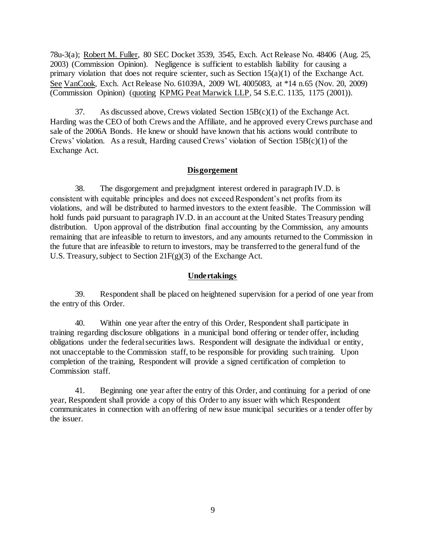78u-3(a); Robert M. Fuller, 80 SEC Docket 3539, 3545, Exch. Act Release No. 48406 (Aug. 25, 2003) (Commission Opinion). Negligence is sufficient to establish liability for causing a primary violation that does not require scienter, such as Section  $15(a)(1)$  of the Exchange Act. See VanCook, Exch. Act Release No. 61039A, 2009 WL 4005083, at \*14 n.65 (Nov. 20, 2009) (Commission Opinion) (quoting KPMG Peat Marwick LLP, 54 S.E.C. 1135, 1175 (2001)).

37. As discussed above, Crews violated Section  $15B(c)(1)$  of the Exchange Act. Harding was the CEO of both Crews and the Affiliate, and he approved every Crews purchase and sale of the 2006A Bonds. He knew or should have known that his actions would contribute to Crews' violation. As a result, Harding caused Crews' violation of Section  $15B(c)(1)$  of the Exchange Act.

#### **Disgorgement**

38. The disgorgement and prejudgment interest ordered in paragraph IV.D. is consistent with equitable principles and does not exceed Respondent's net profits from its violations, and will be distributed to harmed investors to the extent feasible. The Commission will hold funds paid pursuant to paragraph IV.D. in an account at the United States Treasury pending distribution. Upon approval of the distribution final accounting by the Commission, any amounts remaining that are infeasible to return to investors, and any amounts returned to the Commission in the future that are infeasible to return to investors, may be transferred to the general fund of the U.S. Treasury, subject to Section  $21F(g)(3)$  of the Exchange Act.

#### **Undertakings**

39. Respondent shall be placed on heightened supervision for a period of one year from the entry of this Order.

40. Within one year after the entry of this Order, Respondent shall participate in training regarding disclosure obligations in a municipal bond offering or tender offer, including obligations under the federal securities laws. Respondent will designate the individual or entity, not unacceptable to the Commission staff, to be responsible for providing such training. Upon completion of the training, Respondent will provide a signed certification of completion to Commission staff.

41. Beginning one year after the entry of this Order, and continuing for a period of one year, Respondent shall provide a copy of this Order to any issuer with which Respondent communicates in connection with an offering of new issue municipal securities or a tender offer by the issuer.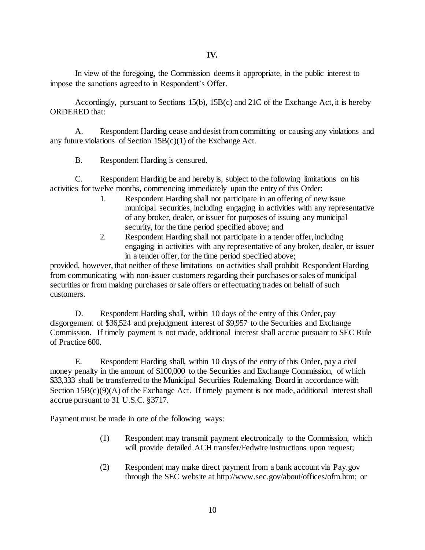In view of the foregoing, the Commission deems it appropriate, in the public interest to impose the sanctions agreed to in Respondent's Offer.

Accordingly, pursuant to Sections 15(b), 15B(c) and 21C of the Exchange Act, it is hereby ORDERED that:

A. Respondent Harding cease and desist from committing or causing any violations and any future violations of Section  $15B(c)(1)$  of the Exchange Act.

B. Respondent Harding is censured.

C. Respondent Harding be and hereby is, subject to the following limitations on his activities for twelve months, commencing immediately upon the entry of this Order:

- 1. Respondent Harding shall not participate in an offering of new issue municipal securities, including engaging in activities with any representative of any broker, dealer, or issuer for purposes of issuing any municipal security, for the time period specified above; and
- 2. Respondent Harding shall not participate in a tender offer, including engaging in activities with any representative of any broker, dealer, or issuer in a tender offer, for the time period specified above;

provided, however, that neither of these limitations on activities shall prohibit Respondent Harding from communicating with non-issuer customers regarding their purchases or sales of municipal securities or from making purchases or sale offers or effectuating trades on behalf of such customers.

D. Respondent Harding shall, within 10 days of the entry of this Order, pay disgorgement of \$36,524 and prejudgment interest of \$9,957 to the Securities and Exchange Commission. If timely payment is not made, additional interest shall accrue pursuant to SEC Rule of Practice 600.

E. Respondent Harding shall, within 10 days of the entry of this Order, pay a civil money penalty in the amount of \$100,000 to the Securities and Exchange Commission, of which \$33,333 shall be transferred to the Municipal Securities Rulemaking Board in accordance with Section  $15B(c)(9)(A)$  of the Exchange Act. If timely payment is not made, additional interest shall accrue pursuant to 31 U.S.C. §3717.

Payment must be made in one of the following ways:

- (1) Respondent may transmit payment electronically to the Commission, which will provide detailed ACH transfer/Fedwire instructions upon request;
- (2) Respondent may make direct payment from a bank account via Pay.gov through the SEC website a[t http://www.sec.gov/about/offices/ofm.htm;](http://www.sec.gov/about/offices/ofm.htm) or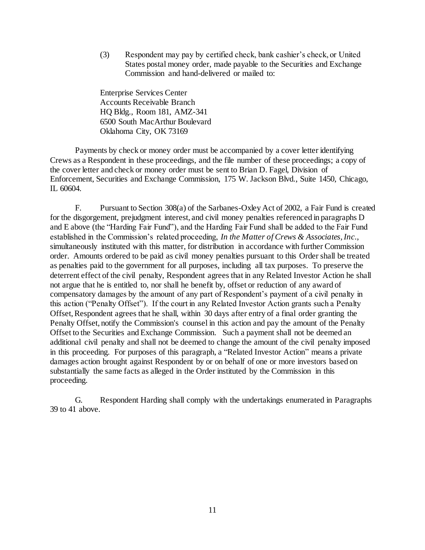(3) Respondent may pay by certified check, bank cashier's check, or United States postal money order, made payable to the Securities and Exchange Commission and hand-delivered or mailed to:

Enterprise Services Center Accounts Receivable Branch HQ Bldg., Room 181, AMZ-341 6500 South MacArthur Boulevard Oklahoma City, OK 73169

Payments by check or money order must be accompanied by a cover letter identifying Crews as a Respondent in these proceedings, and the file number of these proceedings; a copy of the cover letter and check or money order must be sent to Brian D. Fagel, Division of Enforcement, Securities and Exchange Commission, 175 W. Jackson Blvd., Suite 1450, Chicago, IL 60604.

F. Pursuant to Section 308(a) of the Sarbanes-Oxley Act of 2002, a Fair Fund is created for the disgorgement, prejudgment interest, and civil money penalties referenced in paragraphs D and E above (the "Harding Fair Fund"), and the Harding Fair Fund shall be added to the Fair Fund established in the Commission's related proceeding, *In the Matter of Crews & Associates, Inc.*, simultaneously instituted with this matter, for distribution in accordance with further Commission order. Amounts ordered to be paid as civil money penalties pursuant to this Order shall be treated as penalties paid to the government for all purposes, including all tax purposes. To preserve the deterrent effect of the civil penalty, Respondent agrees that in any Related Investor Action he shall not argue that he is entitled to, nor shall he benefit by, offset or reduction of any award of compensatory damages by the amount of any part of Respondent's payment of a civil penalty in this action ("Penalty Offset"). If the court in any Related Investor Action grants such a Penalty Offset, Respondent agrees that he shall, within 30 days after entry of a final order granting the Penalty Offset, notify the Commission's counsel in this action and pay the amount of the Penalty Offset to the Securities and Exchange Commission. Such a payment shall not be deemed an additional civil penalty and shall not be deemed to change the amount of the civil penalty imposed in this proceeding. For purposes of this paragraph, a "Related Investor Action" means a private damages action brought against Respondent by or on behalf of one or more investors based on substantially the same facts as alleged in the Order instituted by the Commission in this proceeding.

G. Respondent Harding shall comply with the undertakings enumerated in Paragraphs 39 to 41 above.